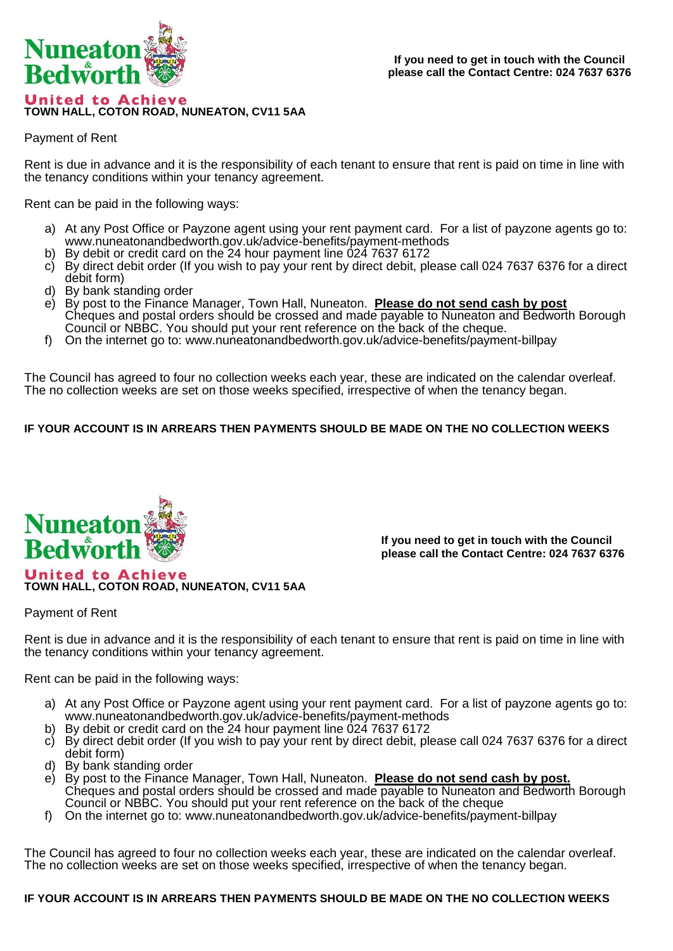

Payment of Rent

Rent is due in advance and it is the responsibility of each tenant to ensure that rent is paid on time in line with the tenancy conditions within your tenancy agreement.

Rent can be paid in the following ways:

- a) At any Post Office or Payzone agent using your rent payment card. For a list of payzone agents go to: www.nuneatonandbedworth.gov.uk/advice-benefits/payment-methods
- b) By debit or credit card on the 24 hour payment line 024 7637 6172
- c) By direct debit order (If you wish to pay your rent by direct debit, please call 024 7637 6376 for a direct debit form)
- d) By bank standing order
- e) By post to the Finance Manager, Town Hall, Nuneaton. **Please do not send cash by post** Cheques and postal orders should be crossed and made payable to Nuneaton and Bedworth Borough Council or NBBC. You should put your rent reference on the back of the cheque.
- f) On the internet go to: www.nuneatonandbedworth.gov.uk/advice-benefits/payment-billpay

The Council has agreed to four no collection weeks each year, these are indicated on the calendar overleaf. The no collection weeks are set on those weeks specified, irrespective of when the tenancy began.

## **IF YOUR ACCOUNT IS IN ARREARS THEN PAYMENTS SHOULD BE MADE ON THE NO COLLECTION WEEKS**



**If you need to get in touch with the Council please call the Contact Centre: 024 7637 6376**

Payment of Rent

Rent is due in advance and it is the responsibility of each tenant to ensure that rent is paid on time in line with the tenancy conditions within your tenancy agreement.

Rent can be paid in the following ways:

**TOWN HALL, COTON ROAD, NUNEATON, CV11 5AA**

- a) At any Post Office or Payzone agent using your rent payment card. For a list of payzone agents go to: www.nuneatonandbedworth.gov.uk/advice-benefits/payment-methods
- b) By debit or credit card on the 24 hour payment line 024 7637 6172
- c) By direct debit order (If you wish to pay your rent by direct debit, please call 024 7637 6376 for a direct debit form)
- d) By bank standing order
- e) By post to the Finance Manager, Town Hall, Nuneaton. **Please do not send cash by post.** Cheques and postal orders should be crossed and made payable to Nuneaton and Bedworth Borough Council or NBBC. You should put your rent reference on the back of the cheque
- f) On the internet go to: www.nuneatonandbedworth.gov.uk/advice-benefits/payment-billpay

The Council has agreed to four no collection weeks each year, these are indicated on the calendar overleaf. The no collection weeks are set on those weeks specified, irrespective of when the tenancy began.

## **IF YOUR ACCOUNT IS IN ARREARS THEN PAYMENTS SHOULD BE MADE ON THE NO COLLECTION WEEKS**